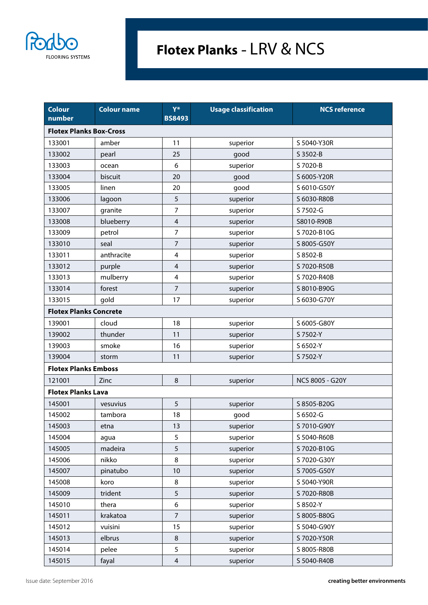

## **Flotex Planks -** LRV & NCS

| <b>Colour</b><br>number        | <b>Colour name</b> | Y*<br><b>BS8493</b>     | <b>Usage classification</b> | <b>NCS reference</b> |  |  |  |
|--------------------------------|--------------------|-------------------------|-----------------------------|----------------------|--|--|--|
| <b>Flotex Planks Box-Cross</b> |                    |                         |                             |                      |  |  |  |
| 133001                         | amber              | 11                      | superior                    | S 5040-Y30R          |  |  |  |
| 133002                         | pearl              | 25                      | good                        | S 3502-B             |  |  |  |
| 133003                         | ocean              | 6                       | superior                    | S 7020-B             |  |  |  |
| 133004                         | biscuit            | 20                      | good                        | S 6005-Y20R          |  |  |  |
| 133005                         | linen              | 20                      | good                        | S 6010-G50Y          |  |  |  |
| 133006                         | lagoon             | 5                       | superior                    | S 6030-R80B          |  |  |  |
| 133007                         | granite            | 7                       | superior                    | S 7502-G             |  |  |  |
| 133008                         | blueberry          | $\overline{4}$          | superior                    | S8010-R90B           |  |  |  |
| 133009                         | petrol             | 7                       | superior                    | S 7020-B10G          |  |  |  |
| 133010                         | seal               | 7                       | superior                    | S 8005-G50Y          |  |  |  |
| 133011                         | anthracite         | 4                       | superior                    | S 8502-B             |  |  |  |
| 133012                         | purple             | $\overline{\mathbf{4}}$ | superior                    | S 7020-R50B          |  |  |  |
| 133013                         | mulberry           | 4                       | superior                    | S 7020-R40B          |  |  |  |
| 133014                         | forest             | $\overline{7}$          | superior                    | S 8010-B90G          |  |  |  |
| 133015                         | gold               | 17                      | superior                    | S 6030-G70Y          |  |  |  |
| <b>Flotex Planks Concrete</b>  |                    |                         |                             |                      |  |  |  |
| 139001                         | cloud              | 18                      | superior                    | S 6005-G80Y          |  |  |  |
| 139002                         | thunder            | 11                      | superior                    | S 7502-Y             |  |  |  |
| 139003                         | smoke              | 16                      | superior                    | S 6502-Y             |  |  |  |
| 139004                         | storm              | 11                      | superior                    | S 7502-Y             |  |  |  |
| <b>Flotex Planks Emboss</b>    |                    |                         |                             |                      |  |  |  |
| 121001                         | Zinc               | 8                       | superior                    | NCS 8005 - G20Y      |  |  |  |
| <b>Flotex Planks Lava</b>      |                    |                         |                             |                      |  |  |  |
| 145001                         | vesuvius           | 5                       | superior                    | S 8505-B20G          |  |  |  |
| 145002                         | tambora            | 18                      | good                        | S 6502-G             |  |  |  |
| 145003                         | etna               | 13                      | superior                    | S 7010-G90Y          |  |  |  |
| 145004                         | agua               | 5                       | superior                    | S 5040-R60B          |  |  |  |
| 145005                         | madeira            | 5                       | superior                    | S 7020-B10G          |  |  |  |
| 145006                         | nikko              | 8                       | superior                    | S 7020-G30Y          |  |  |  |
| 145007                         | pinatubo           | 10                      | superior                    | S 7005-G50Y          |  |  |  |
| 145008                         | koro               | 8                       | superior                    | S 5040-Y90R          |  |  |  |
| 145009                         | trident            | 5                       | superior                    | S 7020-R80B          |  |  |  |
| 145010                         | thera              | 6                       | superior                    | S 8502-Y             |  |  |  |
| 145011                         | krakatoa           | $\overline{7}$          | superior                    | S 8005-B80G          |  |  |  |
| 145012                         | vuisini            | 15                      | superior                    | S 5040-G90Y          |  |  |  |
| 145013                         | elbrus             | 8                       | superior                    | S 7020-Y50R          |  |  |  |
| 145014                         | pelee              | 5                       | superior                    | S 8005-R80B          |  |  |  |
| 145015                         | fayal              | $\overline{\mathbf{4}}$ | superior                    | S 5040-R40B          |  |  |  |